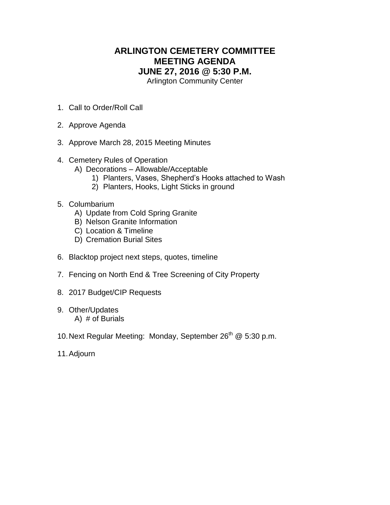## **ARLINGTON CEMETERY COMMITTEE MEETING AGENDA JUNE 27, 2016 @ 5:30 P.M.**

Arlington Community Center

- 1. Call to Order/Roll Call
- 2. Approve Agenda
- 3. Approve March 28, 2015 Meeting Minutes
- 4. Cemetery Rules of Operation
	- A) Decorations Allowable/Acceptable
		- 1) Planters, Vases, Shepherd's Hooks attached to Wash
		- 2) Planters, Hooks, Light Sticks in ground
- 5. Columbarium
	- A) Update from Cold Spring Granite
	- B) Nelson Granite Information
	- C) Location & Timeline
	- D) Cremation Burial Sites
- 6. Blacktop project next steps, quotes, timeline
- 7. Fencing on North End & Tree Screening of City Property
- 8. 2017 Budget/CIP Requests
- 9. Other/Updates A) # of Burials
- 10. Next Regular Meeting: Monday, September 26<sup>th</sup> @ 5:30 p.m.
- 11.Adjourn